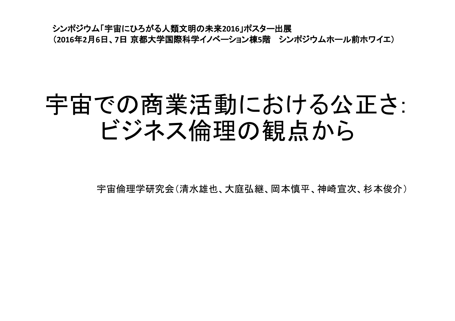シンポジウム「宇宙にひろがる人類文明の未来2016」ポスター出展 (2016年2月6日、7日 京都大学国際科学イノベーション棟5階 シンポジウムホール前ホワイエ)

# 宇宙での商業活動における公正さ: ビジネス倫理の観点から

宇宙倫理学研究会(清水雄也、大庭弘継、岡本慎平、神崎官次、杉本俊介)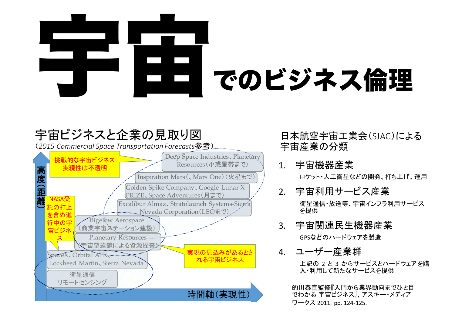

### 宇宙ビジネスと企業の見取り図

(2015 Commercial Space Transportation Forecasts参考)



日本航空宇宙工業会(SJAC)による 宇宙産業の分類

1. 宇宙機器産業

ロケット・人工衛星などの開発、打ち上げ、運用

2. 宇宙利用サービス産業

衛星通信・放送等、宇宙インフラ利用サービス を提供

3. 宇宙関連民生機器産業

GPSなどのハードウェアを製造

4. ユーザー産業群

上記の 2 と 3 からサービスとハードウェアを購 入・利用して新たなサービスを提供

的川泰宣監修『入門から業界動向までひと目 でわかる 宇宙ビジネス』、アスキー・メディア ワークス 2011. pp. 124-125.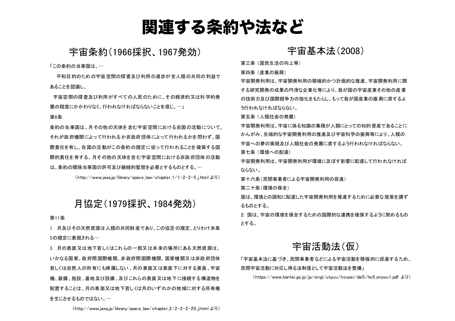### 関連する条約や法など

#### 宇宙条約(1966採択, 1967発効)

「この条約の当事国は...

平和目的のための宇宙空間の探査及び利用の進歩が全人類の共同の利益で あることを認識し、

宇宙空間の探査及び利用がすべての人民のために、その経済的又は科学的発 展の程度にかかわりなく、行われなければならないことを信じ、…」

#### 第6条

冬約の当事国は、月その他の天体を含む宇宙空間における自国の活動について、 それが政府機関によって行われるか非政府団体によって行われるかを問わず、国 際責任を有し、自国の活動がこの条約の規定に従って行われることを確保する国 際的責任を有する。 月その他の 天体を含む宇宙 空間における非政 府団体 の活動 は、条約の関係当事国の許可及び継続的監督を必要とするものとする。…

 $(htto://www.iaxai/p/library/space law/chabter 1/1-2-2-5$  i.html  $kJ$ )

#### 月協定(1979採択、1984発効)

#### 第11条

1. 月及びその天然資源は人類の共同財産であり、この協定の規定、とりわけ本条 5の規定に表現される…

3. 月の表面又は地下若しくはこれらの一部又は本来の場所にある天然資源は、 いかなる国家、政府間国際機関、非政府間国際機関、国家機関又は非政府団体 若しくは自然人の所有にも帰属しない。月の表面又は表面下に対する要員、宇宙 機、装備、施設、基地及び設備、及びこれらの表面又は地下に接続する構造物を 配置することは、月の表面又は地下若しくは月のいずれかの地域に対する所有権 を生じさせるものではない。…

**宇宙基本法(2008)** 

第三条 (国民生活の向上等)

第四条 (産業の振興)

宇宙開発利用の積極的かつ計画的な推進、宇宙開発利用に関 する研究開発の成果の円滑な企業化等により、我が国の宇宙産業その他の産業 の技術力及び国際競争力の強化をもたらし、もって我が国産業の振興に資するよ う行われなければならない。

第五条 (人類社会の発展)

宇宙開発利用は、宇宙に係る知識の集積が人類にとっての知的資産であることに かんがみ、先端的な宇宙開発利用の推進及び宇宙科学の振興等により、人類の 宇宙への夢の実現及び人類社会の発展に資するよう行われなければならない。 第七条 (環境への配慮)

宇宙開発利用が環境に及ぼす影響に配慮して行われなければ ならない.

第十六条(民間事業者による宇宙開発利用の促進)

第二十条 (環境の保全)

国は、環境との調和に配慮した宇宙開発利用を推進するために必要な施策を講ず るものとする。

2 国は、宇宙の環境を保全するための国際的な連携を確保するように努めるもの とする。

#### 宇宙活動法(仮)

「宇宙基本法に基づき、民間事業者などによる宇宙活動を積極的に促進するため、 民間宇宙活動に対応し得る法制度として宇宙活動法を整備1

(https://www.kantei.go.jp/jp/singi/utyuu/housei/dai5/ho5 siryou1.pdf より)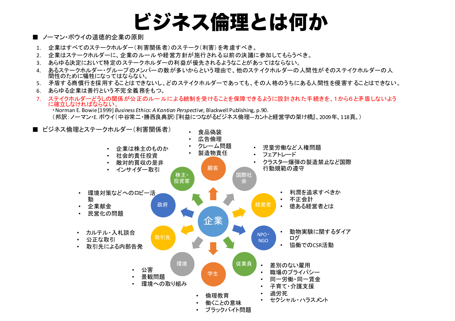# ビジネス倫理とは何か

- ノーマン・ボウイの道徳的企業の原則
- 1. 企業はすべてのステークホルダー(利害関係者)のステーク(利害)を考慮すべき。
- 2. 企業はステークホルダーに、企業のルールや経営方針が施行される以前の決議に参加してもらうべき。
- 3. あらゆる決定において特定のステークホルダーの利益が優先されるようなことがあってはならない。
- 4. あるステークホルダー・グループのメンバーの数が多いからという理由で、他のステイクホルダーの人間性がそのステイクホルダーの人 間性のために犠牲になってはならない。
- 5. 矛盾する商慣行を採用することはできないし、どのステイクホルダーであっても、その人格のうちにある人間性を侵害することはできない。
- 6. あらゆる企業は善行という不完全義務をもつ。
- 7. ステイクホルダーどうしの関係が公正のルールによる統制を受けることを保障できるように設計された手続きを、1から6と矛盾しないよう に確立しなければならない。
	- ˽Norman E. Bowie [1999] *Business Ethics: A Kantian Perspective*, Blackwell Publishing, p.90.

(邦訳:ノーマン・E. ボウイ(中谷常二・勝西良典訳)『利益につながるビジネス倫理―カントと経営学の架け橋』、2009年、118頁。)

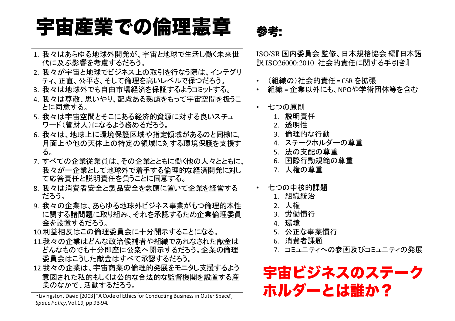# 宇宙産業での倫理憲章 参考:

- 1. 我々はあらゆる地球外開発が、宇宙と地球で生活し働く未来世 代に及ぶ影響を考慮するだろう。
- 2. 我々が宇宙と地球でビジネス上の取引を行なう際は、インテグリ ティ、正直、公平さ、そして倫理を高いレベルで保つだろう。
- 3. 我々は地球外でも自由市場経済を保証するようコミットする。
- 4. 我々は尊敬、思いやり、配慮ある熟慮をもって宇宙空間を扱うこ とに同意する。
- 5. 我々は宇宙空間とそこにある経済的資源に対する良いスチュ ヮード(管財人)になるよう務めるだろう。
- 6. 我々は、地球上に環境保護区域や指定領域があるのと同様に、 月面上や他の天体上の特定の領域に対する環境保護を支援す る。
- 7. すべての企業従業員は、その企業とともに働く他の人々とともに、 我々が一企業として地球外で着手する倫理的な経済開発に対し て応答責任と説明責任を負うことに同意する。
- 8. 我々は消費者安全と製品安全を念頭に置いて企業を経営する だろう。
- |9. 我々の企業は、あらゆる地球外ビジネス事業がもつ倫理的本性 に関する諸問題に取り組み、それを承認するため企業倫理委員 会を設置するだろう。
- 10.利益相反はこの倫理委員会に十分開示することになる。
- 11.我々の企業はどんな政治候補者や組織であれなされた献金は どんなものでも十分即座に公衆へ開示するだろう。企業の倫理 委員会はこうした献金はすべて承認するだろう。
- 12.我々の企業は、宇宙商業の倫理的発展をモニタし支援するよう 意図された私的もしくは公的な合法的な監督機関を設置する産 業のなかで、活動するだろう。

• Livingston, David [2003] "A Code of Ethics for Conducting Business in Outer Space", *Space Policy*, *Vol.19*, pp.93-94.

ISO/SR 国内委員会 監修、日本規格協会 編『日本語 訳 ISO26000:2010 社会的責任に関する手引き』

- (組織の)社会的青仟=CSR を拡張
- 組織 = 企業以外にも、NPOや学術団体等を含む
- 七つの原則
	- 1. 説明青仟
	- 2. 透明性
	- 3. 倫理的な行動
	- 4. ステークホルダーの尊重
	- 5. 法の支配の尊重
	- 6. 国際行動規範の尊重
	- 7. 人権の尊重
- 七つの中核的課題
	- 1. 組織統治
	- 2. 人権
	- 3. 労働慣行
	- 4. 環境
	- 5. 公正な事業慣行
	- 6. 消費者課題
	- 7. コミュニティへの参画及びコミュニティの発展

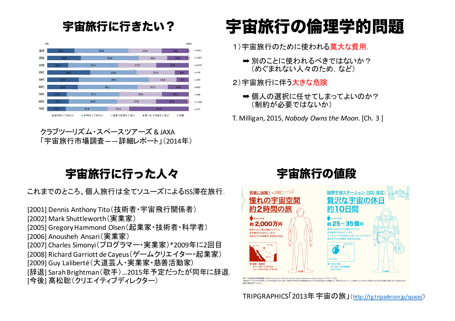#### 宇宙旅行に行きたい?



˅˵ˤ˗˾˶ˏ˭˽ˎ˧˾ˎ˗ʻ˾ˏ & JAXA 「宇宙旅行市場調査――詳細レポート」(2014年)

# 宇宙旅行の倫理学的問題

1) 宇宙旅行のために使われる莫大な費用.

- ➡ 別のことに使われるべきではないか? (めぐまれない人々のため、など)
- 2) 宇宙旅行に伴う大きな危険
	- ➡ 個人の選択に任せてしまってよいのか? (制約が必要ではないか)

T. Milligan, 2015, *Nobody Owns the Moon*. [Ch. 3]

### 宇宙旅行に行った人々

これまでのところ、個人旅行は全てソユーズによるISS滞在旅行.

[2001] Dennis Anthony Tito(技術者・宇宙飛行関係者) [2002] Mark Shuttleworth (実業家) [2005] Gregory Hammond Olsen (起業家·技術者·科学者) [2006] Anousheh Ansari (実業家) [2007] Charles Simonyi(プログラマー・実業家) \*2009年に2回目 [2008] Richard Garriott de Cayeus (ゲームクリエイター・起業家) [2009] Guy Laliberté (大道芸人·実業家·慈善活動家) [辞退] Sarah Brightman(歌手)...2015年予定だったが同年に辞退. [今後] 髙松聡(クリエイティブディレクター)

### 宇宙旅行の値段



TRIPGRAPHICS「2013年宇宙の旅」(http://tg.tripadvisor.jp/space/)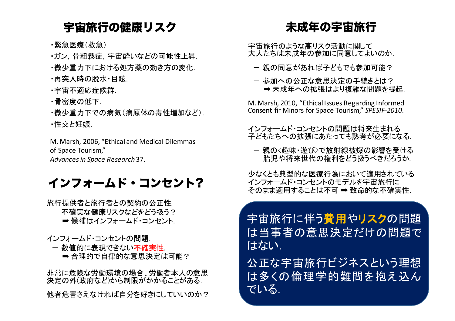#### 宇宙旅行の健康リスク

•緊急医療(救急)

- ・ガン.骨粗鬆症. 宇宙酔いなどの可能性上昇.
- •微少重力下における処方薬の効き方の変化.
- •再突入時の脱水•目眩.
- •宇宙不適応症候群.
- ・骨密度の低下.
- •微少重力下での病気(病原体の毒性増加など). ・性交と妊娠.

M. Marsh, 2006, "Ethical and Medical Dilemmas of Space Tourism,"

*Advances in Space Research*37.

#### インフォームド・コンセント?

旅行提供者と旅行者との契約の公正性 ー 不確実な健康リスクなどをどう扱う? ➡ 候補はインフォームド・コンセント.

- インフォームド・コンセントの問題
- ー 数値的に表現できない不確実性
	- ➡ 合理的で自律的な意思決定は可能?

非常に危険な労働環境の場合、労働者本人の意思 決定の外(政府など)から制限がかかることがある. 他者危害さえなければ自分を好きにしていいのか?

#### 未成年の宇宙旅行

宇宙旅行のような高リスク活動に関して 大人たちは未成年の参加に同意してよいのか

- 一親の同意があれば子どもでも参加可能?
- 一 参加への公正な意思決定の手続きとは? ➡ 未成年への拡張はより複雑な問題を提起。

M. Marsh, 2010, "Ethical Issues Regarding Informed Consent fir Minors for Space Tourism," SPESIF-2010.

- インフォームド・コンセントの問題は将来生まれる 子どもたちへの拡張にあたっても熟考が必要になる。
	- 親のく趣味·遊び>で放射線被爆の影響を受ける 胎児や将来世代の権利をどう扱うべきだろうか.

少なくとも典型的な医療行為において適用されている インフォームド・コンセントのモデルを宇宙旅行に そのまま適用することは不可 ➡ 致命的な不確実性.

字宙旅行に伴う費用やリスクの問題 は当事者の意思決定だけの問題で はない.

公正な宇宙旅行ビジネスという理想 は多くの倫理学的難問を抱え込ん でいる.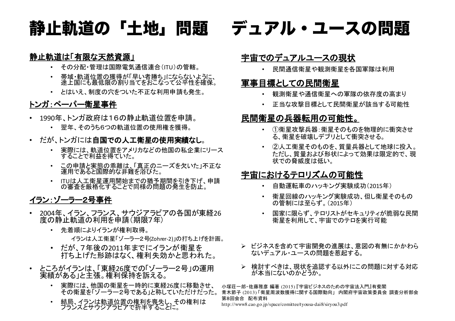### 静止軌道の「土地」問題

#### 静止軌道は「有限な天然資源」

- その分配·管理は国際電気通信連合(ITU)の管轄。
- 帯域・軌道位置の獲得が「早い者勝ち」にならないように、 途上国にも最低限の割り当てをおこなって公平性を確保。
- とはいえ、制度の穴をついた不正な利用申請も発生。

#### トンガ:ペーパー衛星事件

- 1990年、トンガ政府は16の静止軌道位置を申請。
	- 翌年、そのうち6つの軌道位置の使用権を獲得。
- だが、トンガには自国での人工衛星の使用実績なし。
	- 実際には、軌道位置をアメリカなどの他国の私企業にリース することで利益を得ていた。
	- この申請と実態の乖離は、「真正のニーズを欠いた」不正な 運用であると国際的な非難を浴びた。
	- ITUは人工衛星運用開始までの猶予期間を引き下げ、申請<br>の審査を厳格化することで同様の問題の発生を防止。

#### イラン:ゾーラー2号事件

- 2004年、イラン、フランス、サウジアラビアの各国が東経26 度の静止軌道の利用を申請(期限7年)
	- 先着順によりイランが権利取得。
		- イランは人工衛星「ゾーラー2号(Zohrer-2)」の打ち上げを計画。
	- だが、7年後の2011年までにイランが衛星を 打ち上げた形跡はなく、権利失効かと思われた。
- ところがイランは、「東経26度での「ゾーラー2号」の運用 実績がある」と主張。権利保持を訴える。
	- 実際には、他国の衛星を一時的に東経26度に移動させ、 その衛星を「ゾーラー2号である」と称していただけだった。
	- 結局、イランは軌道位置の権利を喪失し、その権利は<br>アランスとサウジアラビアで折半することに。

### デュアル・ユースの問題

#### 宇宙でのデュアルユースの現状

• 民間通信衛星や観測衛星を各国軍隊は利用

#### 軍事目標としての民間衛星

- 観測衛星や通信衛星への軍隊の依存度の高まり
- 正当な攻撃目標として民間衛星が該当する可能性

#### 民間衛星の兵器転用の可能性。

- ①衛星攻撃兵器:衛星そのものを物理的に衝突させ る、衛星を破壊しデブリとして衝突させる。
- ②人工衛星そのものを、質量兵器として地球に投入。 ただし、質量および形状によって効果は限定的で、現 状での脅威度は低い。

#### 宇宙におけるテロリズムの可能性

- 自動運転車のハッキング実験成功(2015年)
- 衛星回線のハッキング実験成功、但し衛星そのもの の管制には至らず。(2015年)
- 国家に限らず、テロリストがセキュリティが脆弱な民間 衛星を利用して、宇宙でのテロを実行可能
- ▶ ビジネスを含めて宇宙開発の進展は、意図の有無にかかわら ないデュアル・ユースの問題を惹起する。
- > 検討すべきは、現状を追認する以外にこの問題に対する対応 が本当にないのかどうか。

小塚荘一郎・佐藤雅彦 編著 (2015)『宇宙ビジネスのための宇宙法入門』有斐閣 青木節子 (2013) 「衛星周波数獲得に関する国際動向」 内閣府宇宙政策委員会 調査分析部会 第8回会合 配布資料

http://www8.cao.go.jp/space/comittee/tyousa-dai8/siryou3.pdf